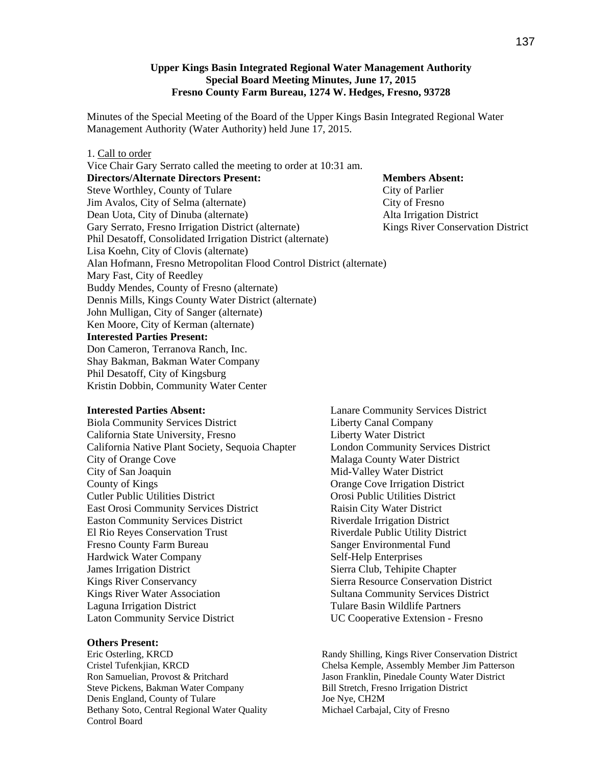## **Upper Kings Basin Integrated Regional Water Management Authority Special Board Meeting Minutes, June 17, 2015 Fresno County Farm Bureau, 1274 W. Hedges, Fresno, 93728**

Minutes of the Special Meeting of the Board of the Upper Kings Basin Integrated Regional Water Management Authority (Water Authority) held June 17, 2015.

## 1. Call to order

Vice Chair Gary Serrato called the meeting to order at 10:31 am. **Directors/Alternate Directors Present: Members Absent: Members Absent:** Steve Worthley, County of Tulare City of Parlier Jim Avalos, City of Selma (alternate) City of Fresno Dean Uota, City of Dinuba (alternate) Alta Irrigation District Gary Serrato, Fresno Irrigation District (alternate) Kings River Conservation District Phil Desatoff, Consolidated Irrigation District (alternate) Lisa Koehn, City of Clovis (alternate) Alan Hofmann, Fresno Metropolitan Flood Control District (alternate) Mary Fast, City of Reedley Buddy Mendes, County of Fresno (alternate) Dennis Mills, Kings County Water District (alternate) John Mulligan, City of Sanger (alternate) Ken Moore, City of Kerman (alternate) **Interested Parties Present:** Don Cameron, Terranova Ranch, Inc. Shay Bakman, Bakman Water Company Phil Desatoff, City of Kingsburg Kristin Dobbin, Community Water Center

## **Interested Parties Absent:**

Biola Community Services District California State University, Fresno California Native Plant Society, Sequoia Chapter City of Orange Cove City of San Joaquin County of Kings Cutler Public Utilities District East Orosi Community Services District Easton Community Services District El Rio Reyes Conservation Trust Fresno County Farm Bureau Hardwick Water Company James Irrigation District Kings River Conservancy Kings River Water Association Laguna Irrigation District Laton Community Service District

## **Others Present:**

Eric Osterling, KRCD Cristel Tufenkjian, KRCD Ron Samuelian, Provost & Pritchard Steve Pickens, Bakman Water Company Denis England, County of Tulare Bethany Soto, Central Regional Water Quality Control Board

Lanare Community Services District Liberty Canal Company Liberty Water District London Community Services District Malaga County Water District Mid-Valley Water District Orange Cove Irrigation District Orosi Public Utilities District Raisin City Water District Riverdale Irrigation District Riverdale Public Utility District Sanger Environmental Fund Self-Help Enterprises Sierra Club, Tehipite Chapter Sierra Resource Conservation District Sultana Community Services District Tulare Basin Wildlife Partners UC Cooperative Extension - Fresno

Randy Shilling, Kings River Conservation District Chelsa Kemple, Assembly Member Jim Patterson Jason Franklin, Pinedale County Water District Bill Stretch, Fresno Irrigation District Joe Nye, CH2M Michael Carbajal, City of Fresno